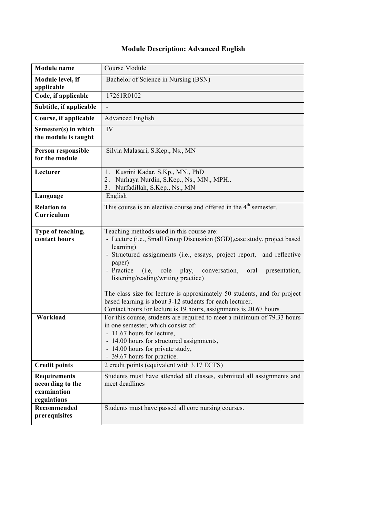## **Module Description: Advanced English**

| <b>Module</b> name                                                    | Course Module                                                                                                                                                                                                                                                                                                                                                                                                                                                                                                                                    |
|-----------------------------------------------------------------------|--------------------------------------------------------------------------------------------------------------------------------------------------------------------------------------------------------------------------------------------------------------------------------------------------------------------------------------------------------------------------------------------------------------------------------------------------------------------------------------------------------------------------------------------------|
| Module level, if<br>applicable                                        | Bachelor of Science in Nursing (BSN)                                                                                                                                                                                                                                                                                                                                                                                                                                                                                                             |
| Code, if applicable                                                   | 17261R0102                                                                                                                                                                                                                                                                                                                                                                                                                                                                                                                                       |
| Subtitle, if applicable                                               |                                                                                                                                                                                                                                                                                                                                                                                                                                                                                                                                                  |
| Course, if applicable                                                 | <b>Advanced English</b>                                                                                                                                                                                                                                                                                                                                                                                                                                                                                                                          |
| Semester(s) in which<br>the module is taught                          | IV                                                                                                                                                                                                                                                                                                                                                                                                                                                                                                                                               |
| Person responsible<br>for the module                                  | Silvia Malasari, S.Kep., Ns., MN                                                                                                                                                                                                                                                                                                                                                                                                                                                                                                                 |
| Lecturer                                                              | Kusrini Kadar, S.Kp., MN., PhD<br>$1_{\cdot}$<br>Nurhaya Nurdin, S.Kep., Ns., MN., MPH<br>2.<br>Nurfadillah, S.Kep., Ns., MN<br>3 <sub>1</sub>                                                                                                                                                                                                                                                                                                                                                                                                   |
| Language                                                              | English                                                                                                                                                                                                                                                                                                                                                                                                                                                                                                                                          |
| <b>Relation to</b><br>Curriculum                                      | This course is an elective course and offered in the $4th$ semester.                                                                                                                                                                                                                                                                                                                                                                                                                                                                             |
| Type of teaching,<br>contact hours                                    | Teaching methods used in this course are:<br>- Lecture (i.e., Small Group Discussion (SGD), case study, project based<br>learning)<br>- Structured assignments (i.e., essays, project report, and reflective<br>paper)<br>- Practice (i.e, role play, conversation,<br>presentation,<br>oral<br>listening/reading/writing practice)<br>The class size for lecture is approximately 50 students, and for project<br>based learning is about 3-12 students for each lecturer.<br>Contact hours for lecture is 19 hours, assignments is 20.67 hours |
| Workload                                                              | For this course, students are required to meet a minimum of 79.33 hours<br>in one semester, which consist of:<br>- 11.67 hours for lecture,<br>- 14.00 hours for structured assignments,<br>- 14.00 hours for private study,<br>- 39.67 hours for practice.                                                                                                                                                                                                                                                                                      |
| <b>Credit points</b>                                                  | 2 credit points (equivalent with 3.17 ECTS)                                                                                                                                                                                                                                                                                                                                                                                                                                                                                                      |
| <b>Requirements</b><br>according to the<br>examination<br>regulations | Students must have attended all classes, submitted all assignments and<br>meet deadlines                                                                                                                                                                                                                                                                                                                                                                                                                                                         |
| Recommended<br>prerequisites                                          | Students must have passed all core nursing courses.                                                                                                                                                                                                                                                                                                                                                                                                                                                                                              |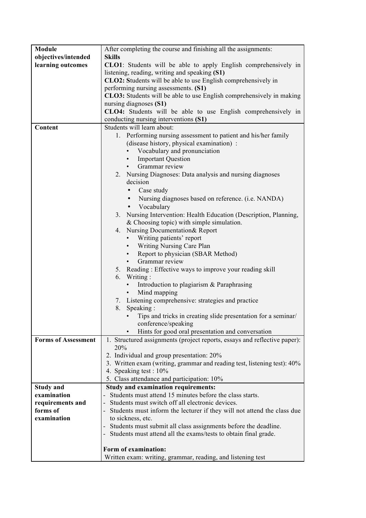| Module                     | After completing the course and finishing all the assignments:            |
|----------------------------|---------------------------------------------------------------------------|
| objectives/intended        | <b>Skills</b>                                                             |
| learning outcomes          | CLO1: Students will be able to apply English comprehensively in           |
|                            | listening, reading, writing and speaking (S1)                             |
|                            | CLO2: Students will be able to use English comprehensively in             |
|                            | performing nursing assessments. (S1)                                      |
|                            | CLO3: Students will be able to use English comprehensively in making      |
|                            | nursing diagnoses (S1)                                                    |
|                            | CLO4: Students will be able to use English comprehensively in             |
|                            | conducting nursing interventions (S1)                                     |
| Content                    | Students will learn about:                                                |
|                            | 1. Performing nursing assessment to patient and his/her family            |
|                            | (disease history, physical examination) :                                 |
|                            | Vocabulary and pronunciation                                              |
|                            | <b>Important Question</b><br>$\bullet$                                    |
|                            | Grammar review<br>$\bullet$                                               |
|                            | 2. Nursing Diagnoses: Data analysis and nursing diagnoses                 |
|                            | decision                                                                  |
|                            | Case study                                                                |
|                            | • Nursing diagnoses based on reference. (i.e. NANDA)                      |
|                            | Vocabulary<br>٠                                                           |
|                            | Nursing Intervention: Health Education (Description, Planning,<br>3.      |
|                            | & Choosing topic) with simple simulation.                                 |
|                            | 4. Nursing Documentation& Report                                          |
|                            | • Writing patients' report                                                |
|                            | • Writing Nursing Care Plan                                               |
|                            | Report to physician (SBAR Method)<br>$\bullet$                            |
|                            | Grammar review                                                            |
|                            | 5. Reading: Effective ways to improve your reading skill                  |
|                            | 6. Writing:                                                               |
|                            | Introduction to plagiarism & Paraphrasing<br>$\bullet$                    |
|                            |                                                                           |
|                            | Mind mapping<br>$\bullet$                                                 |
|                            | 7. Listening comprehensive: strategies and practice                       |
|                            | 8.<br>Speaking:                                                           |
|                            | Tips and tricks in creating slide presentation for a seminar/             |
|                            | conference/speaking                                                       |
|                            | Hints for good oral presentation and conversation                         |
| <b>Forms of Assessment</b> | 1. Structured assignments (project reports, essays and reflective paper): |
|                            | 20%                                                                       |
|                            | 2. Individual and group presentation: 20%                                 |
|                            | 3. Written exam (writing, grammar and reading test, listening test): 40%  |
|                            | 4. Speaking test : 10%                                                    |
|                            | 5. Class attendance and participation: 10%                                |
| <b>Study and</b>           | <b>Study and examination requirements:</b>                                |
| examination                | Students must attend 15 minutes before the class starts.                  |
| requirements and           | Students must switch off all electronic devices.                          |
| forms of                   | - Students must inform the lecturer if they will not attend the class due |
| examination                | to sickness, etc.                                                         |
|                            | Students must submit all class assignments before the deadline.           |
|                            | Students must attend all the exams/tests to obtain final grade.           |
|                            |                                                                           |
|                            | Form of examination:                                                      |
|                            | Written exam: writing, grammar, reading, and listening test               |